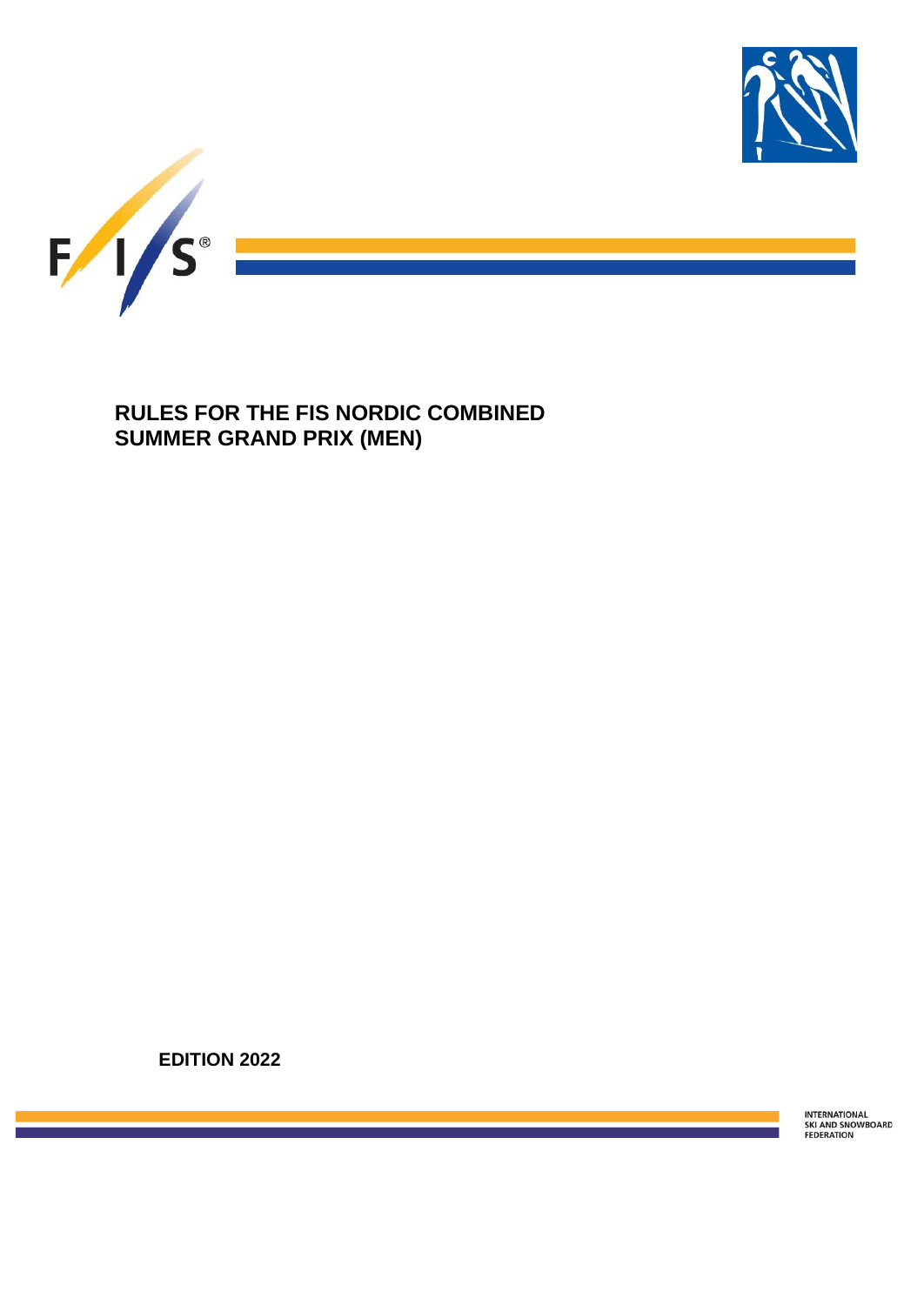

**RULES FOR THE FIS NORDIC COMBINED SUMMER GRAND PRIX (MEN)**

**EDITION 2022**

INTERNATIONAL<br>SKI AND SNOWBOARD<br>FEDERATION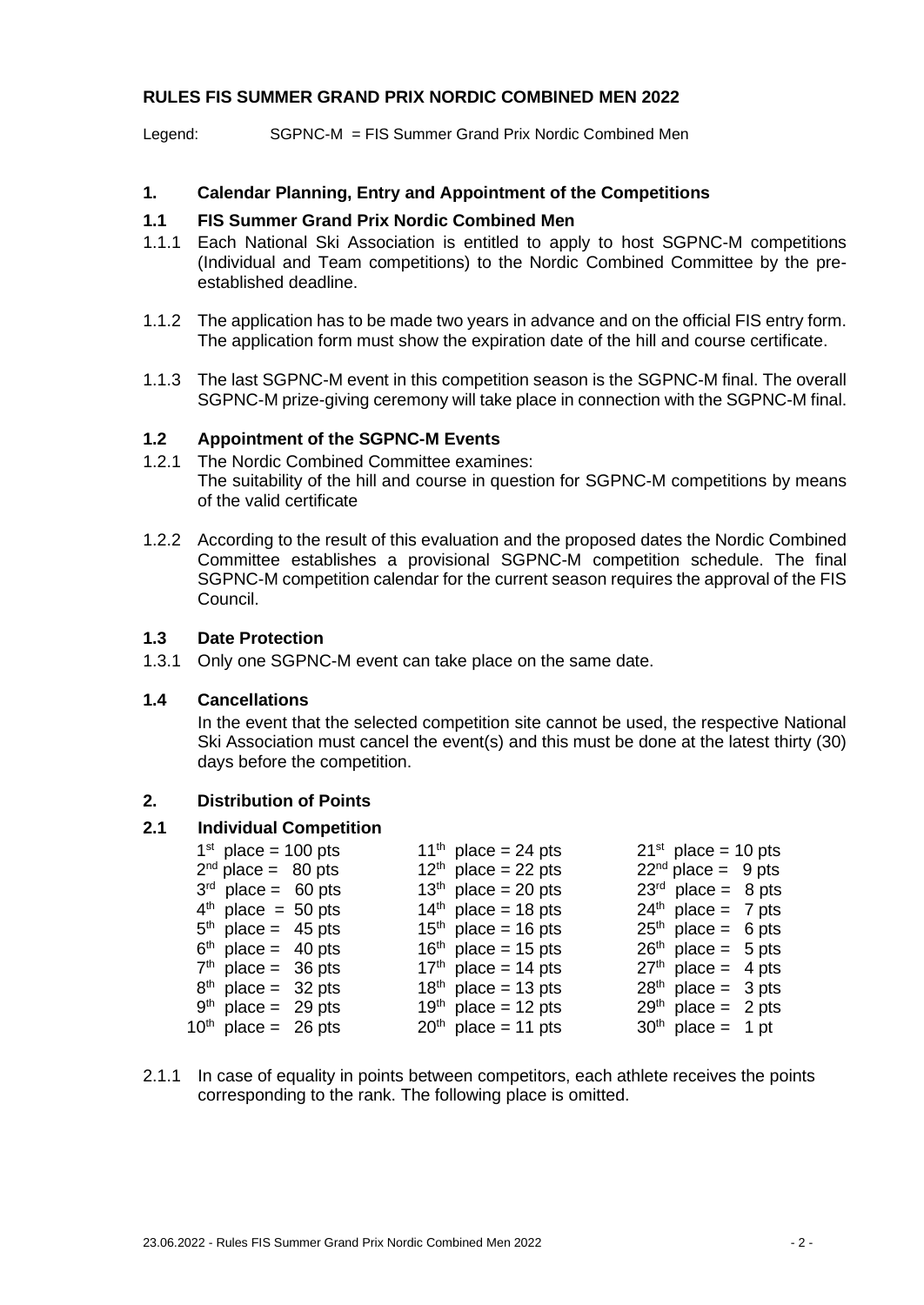### **RULES FIS SUMMER GRAND PRIX NORDIC COMBINED MEN 2022**

Legend: SGPNC-M = FIS Summer Grand Prix Nordic Combined Men

### **1. Calendar Planning, Entry and Appointment of the Competitions**

### **1.1 FIS Summer Grand Prix Nordic Combined Men**

- 1.1.1 Each National Ski Association is entitled to apply to host SGPNC-M competitions (Individual and Team competitions) to the Nordic Combined Committee by the preestablished deadline.
- 1.1.2 The application has to be made two years in advance and on the official FIS entry form. The application form must show the expiration date of the hill and course certificate.
- 1.1.3 The last SGPNC-M event in this competition season is the SGPNC-M final. The overall SGPNC-M prize-giving ceremony will take place in connection with the SGPNC-M final.

### **1.2 Appointment of the SGPNC-M Events**

- 1.2.1 The Nordic Combined Committee examines: The suitability of the hill and course in question for SGPNC-M competitions by means of the valid certificate
- 1.2.2 According to the result of this evaluation and the proposed dates the Nordic Combined Committee establishes a provisional SGPNC-M competition schedule. The final SGPNC-M competition calendar for the current season requires the approval of the FIS Council.

## **1.3 Date Protection**

1.3.1 Only one SGPNC-M event can take place on the same date.

#### **1.4 Cancellations**

In the event that the selected competition site cannot be used, the respective National Ski Association must cancel the event(s) and this must be done at the latest thirty (30) days before the competition.

### **2. Distribution of Points**

### **2.1 Individual Competition**

| $1st$ place = 100 pts    |  | 11 <sup>th</sup> place = 24 pts | $21st$ place = 10 pts |  |
|--------------------------|--|---------------------------------|-----------------------|--|
| $2nd$ place = 80 pts     |  | $12th$ place = 22 pts           | $22nd$ place = 9 pts  |  |
| $3rd$ place = 60 pts     |  | $13th$ place = 20 pts           | $23rd$ place = 8 pts  |  |
| $4th$ place = 50 pts     |  | $14th$ place = 18 pts           | $24th$ place = 7 pts  |  |
| $5th$ place = 45 pts     |  | $15th$ place = 16 pts           | $25th$ place = 6 pts  |  |
| $6th$ place = 40 pts     |  | $16th$ place = 15 pts           | $26th$ place = 5 pts  |  |
| $7th$ place = 36 pts     |  | $17th$ place = 14 pts           | $27th$ place = 4 pts  |  |
| $8th$ place = 32 pts     |  | $18th$ place = 13 pts           | $28th$ place = 3 pts  |  |
| $9th$ place = 29 pts     |  | $19th$ place = 12 pts           | $29th$ place = 2 pts  |  |
| $10^{th}$ place = 26 pts |  | $20th$ place = 11 pts           | $30th$ place = 1 pt   |  |

2.1.1 In case of equality in points between competitors, each athlete receives the points corresponding to the rank. The following place is omitted.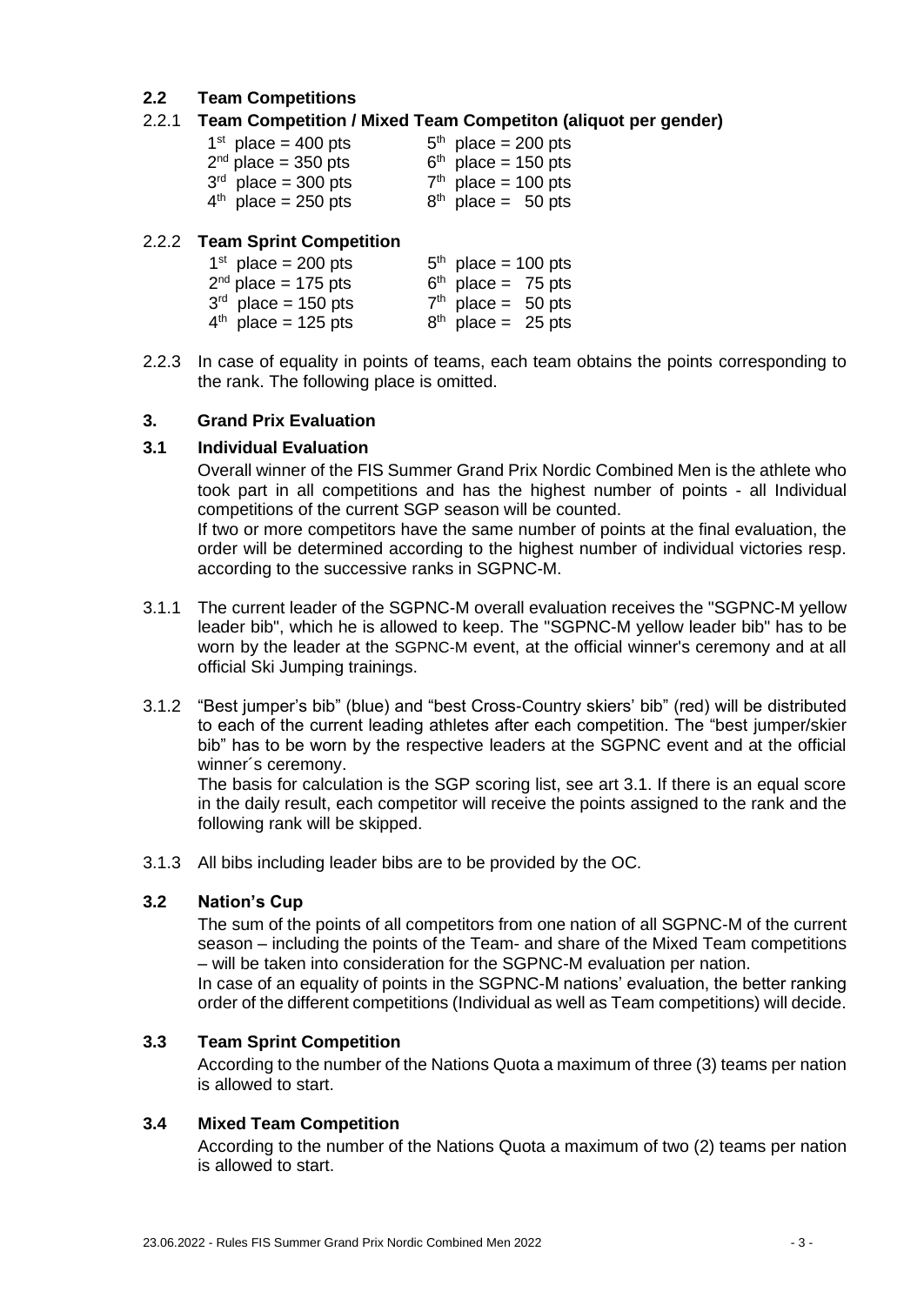# **2.2 Team Competitions**

## 2.2.1 **Team Competition / Mixed Team Competiton (aliquot per gender)**

| $1st$ place = 400 pts | $5th$ place = 200 pts |
|-----------------------|-----------------------|
| $2nd$ place = 350 pts | $6th$ place = 150 pts |
| $3rd$ place = 300 pts | $7th$ place = 100 pts |
| $4th$ place = 250 pts | $8th$ place = 50 pts  |

### 2.2.2 **Team Sprint Competition**

| $1st$ place = 200 pts | $5th$ place = 100 pts |  |
|-----------------------|-----------------------|--|
| $2nd$ place = 175 pts | $6th$ place = 75 pts  |  |
| $3rd$ place = 150 pts | $7th$ place = 50 pts  |  |
| $4th$ place = 125 pts | $8th$ place = 25 pts  |  |

2.2.3 In case of equality in points of teams, each team obtains the points corresponding to the rank. The following place is omitted.

### **3. Grand Prix Evaluation**

### **3.1 Individual Evaluation**

Overall winner of the FIS Summer Grand Prix Nordic Combined Men is the athlete who took part in all competitions and has the highest number of points - all Individual competitions of the current SGP season will be counted.

If two or more competitors have the same number of points at the final evaluation, the order will be determined according to the highest number of individual victories resp. according to the successive ranks in SGPNC-M.

- 3.1.1 The current leader of the SGPNC-M overall evaluation receives the "SGPNC-M yellow leader bib", which he is allowed to keep. The "SGPNC-M yellow leader bib" has to be worn by the leader at the SGPNC-M event, at the official winner's ceremony and at all official Ski Jumping trainings.
- 3.1.2 "Best jumper's bib" (blue) and "best Cross-Country skiers' bib" (red) will be distributed to each of the current leading athletes after each competition. The "best jumper/skier bib" has to be worn by the respective leaders at the SGPNC event and at the official winner´s ceremony.

The basis for calculation is the SGP scoring list, see art 3.1. If there is an equal score in the daily result, each competitor will receive the points assigned to the rank and the following rank will be skipped.

3.1.3 All bibs including leader bibs are to be provided by the OC.

### **3.2 Nation's Cup**

The sum of the points of all competitors from one nation of all SGPNC-M of the current season – including the points of the Team- and share of the Mixed Team competitions – will be taken into consideration for the SGPNC-M evaluation per nation. In case of an equality of points in the SGPNC-M nations' evaluation, the better ranking order of the different competitions (Individual as well as Team competitions) will decide.

### **3.3 Team Sprint Competition**

According to the number of the Nations Quota a maximum of three (3) teams per nation is allowed to start.

### **3.4 Mixed Team Competition**

According to the number of the Nations Quota a maximum of two (2) teams per nation is allowed to start.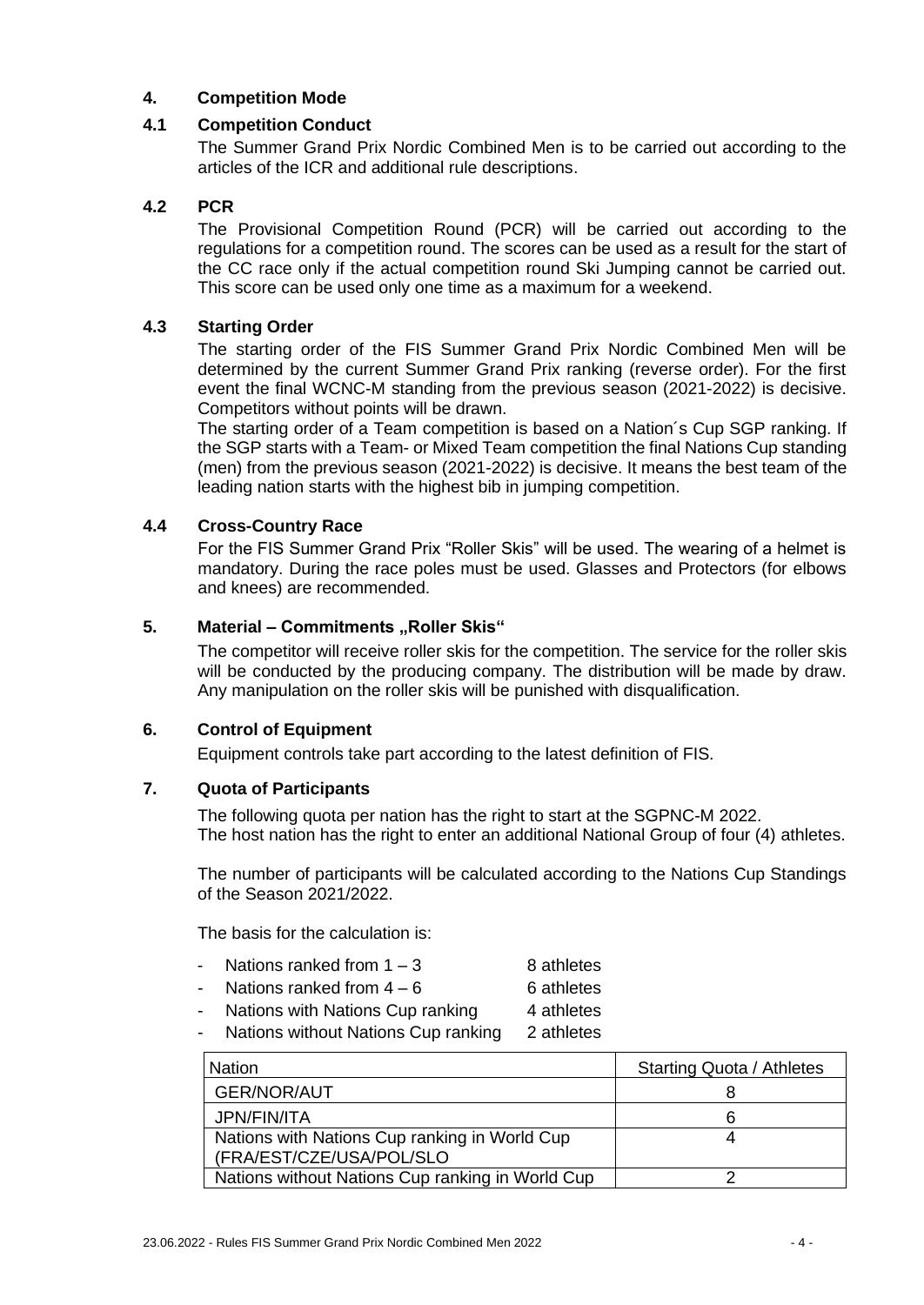## **4. Competition Mode**

### **4.1 Competition Conduct**

The Summer Grand Prix Nordic Combined Men is to be carried out according to the articles of the ICR and additional rule descriptions.

### **4.2 PCR**

The Provisional Competition Round (PCR) will be carried out according to the regulations for a competition round. The scores can be used as a result for the start of the CC race only if the actual competition round Ski Jumping cannot be carried out. This score can be used only one time as a maximum for a weekend.

### **4.3 Starting Order**

The starting order of the FIS Summer Grand Prix Nordic Combined Men will be determined by the current Summer Grand Prix ranking (reverse order). For the first event the final WCNC-M standing from the previous season (2021-2022) is decisive. Competitors without points will be drawn.

The starting order of a Team competition is based on a Nation´s Cup SGP ranking. If the SGP starts with a Team- or Mixed Team competition the final Nations Cup standing (men) from the previous season (2021-2022) is decisive. It means the best team of the leading nation starts with the highest bib in jumping competition.

### **4.4 Cross-Country Race**

For the FIS Summer Grand Prix "Roller Skis" will be used. The wearing of a helmet is mandatory. During the race poles must be used. Glasses and Protectors (for elbows and knees) are [recommended.](http://dict.leo.org/ende?lp=ende&p=Ci4HO3kMAA&search=recommended&trestr=0x8004)

### **5.** Material – Commitments "Roller Skis"

The competitor will receive roller skis for the competition. The service for the roller skis will be conducted by the producing company. The distribution will be made by draw. Any manipulation on the roller skis will be punished with disqualification.

### **6. Control of Equipment**

Equipment controls take part according to the latest definition of FIS.

## **7. Quota of Participants**

The following quota per nation has the right to start at the SGPNC-M 2022. The host nation has the right to enter an additional National Group of four (4) athletes.

The number of participants will be calculated according to the Nations Cup Standings of the Season 2021/2022.

The basis for the calculation is:

- Nations ranked from  $1 3$  8 athletes
- Nations ranked from  $4 6$  6 athletes
- Nations with Nations Cup ranking 4 athletes
- Nations without Nations Cup ranking 2 athletes

| <b>Nation</b>                                    | <b>Starting Quota / Athletes</b> |
|--------------------------------------------------|----------------------------------|
| <b>GER/NOR/AUT</b>                               |                                  |
| JPN/FIN/ITA                                      |                                  |
| Nations with Nations Cup ranking in World Cup    |                                  |
| (FRA/EST/CZE/USA/POL/SLO                         |                                  |
| Nations without Nations Cup ranking in World Cup |                                  |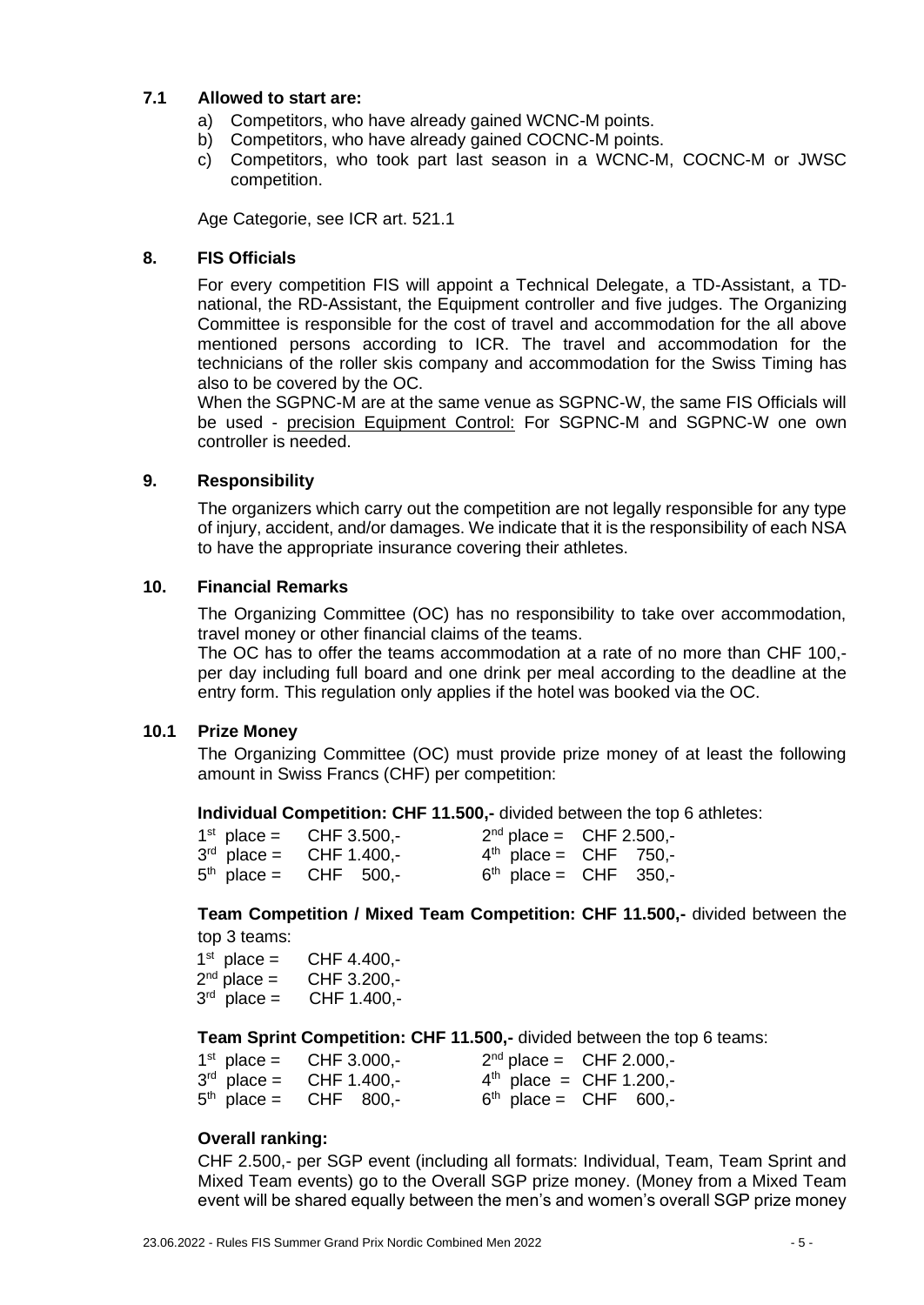### **7.1 Allowed to start are:**

- a) Competitors, who have already gained WCNC-M points.
- b) Competitors, who have already gained COCNC-M points.
- c) Competitors, who took part last season in a WCNC-M, COCNC-M or JWSC competition.

Age Categorie, see ICR art. 521.1

### **8. FIS Officials**

For every competition FIS will appoint a Technical Delegate, a TD-Assistant, a TDnational, the RD-Assistant, the Equipment controller and five judges. The Organizing Committee is responsible for the cost of travel and accommodation for the all above mentioned persons according to ICR. The travel and accommodation for the technicians of the roller skis company and accommodation for the Swiss Timing has also to be covered by the OC.

When the SGPNC-M are at the same venue as SGPNC-W, the same FIS Officials will be used - precision Equipment Control: For SGPNC-M and SGPNC-W one own controller is needed.

### **9. Responsibility**

The organizers which carry out the competition are not legally responsible for any type of injury, accident, and/or damages. We indicate that it is the responsibility of each NSA to have the appropriate insurance covering their athletes.

### **10. Financial Remarks**

The Organizing Committee (OC) has no responsibility to take over accommodation, travel money or other financial claims of the teams.

The OC has to offer the teams accommodation at a rate of no more than CHF 100, per day including full board and one drink per meal according to the deadline at the entry form. This regulation only applies if the hotel was booked via the OC.

### **10.1 Prize Money**

The Organizing Committee (OC) must provide prize money of at least the following amount in Swiss Francs (CHF) per competition:

**Individual Competition: CHF 11.500,-** divided between the top 6 athletes:

|  | $1^{st}$ place = CHF 3.500,- | $2^{nd}$ place = CHF 2.500,- |
|--|------------------------------|------------------------------|
|  | $3rd$ place = CHF 1.400,-    | $4th$ place = CHF 750,-      |
|  | $5th$ place = CHF 500,-      | $6th$ place = CHF 350,-      |

**Team Competition / Mixed Team Competition: CHF 11.500,-** divided between the top 3 teams:

 1 st CHF 4.400,- $2<sup>nd</sup>$  place = CHF 3.200,- $3<sup>rd</sup>$  place = CHF 1.400,-

**Team Sprint Competition: CHF 11.500,-** divided between the top 6 teams:

|  | $1^{st}$ place = CHF 3.000,- | $2^{nd}$ place = CHF 2.000,- |
|--|------------------------------|------------------------------|
|  | $3rd$ place = CHF 1.400,-    | $4th$ place = CHF 1.200,-    |
|  | $5th$ place = CHF 800,-      | $6th$ place = CHF 600,-      |

### **Overall ranking:**

CHF 2.500,- per SGP event (including all formats: Individual, Team, Team Sprint and Mixed Team events) go to the Overall SGP prize money. (Money from a Mixed Team event will be shared equally between the men's and women's overall SGP prize money